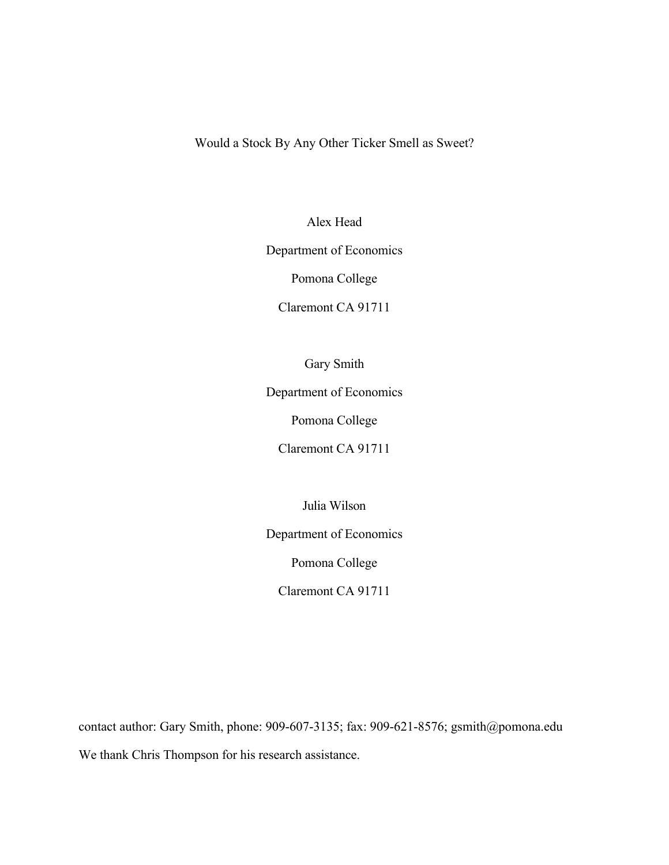Would a Stock By Any Other Ticker Smell as Sweet?

Alex Head

Department of Economics

Pomona College

Claremont CA 91711

Gary Smith

Department of Economics

Pomona College

Claremont CA 91711

Julia Wilson

Department of Economics

Pomona College

Claremont CA 91711

contact author: Gary Smith, phone: 909-607-3135; fax: 909-621-8576; gsmith@pomona.edu We thank Chris Thompson for his research assistance.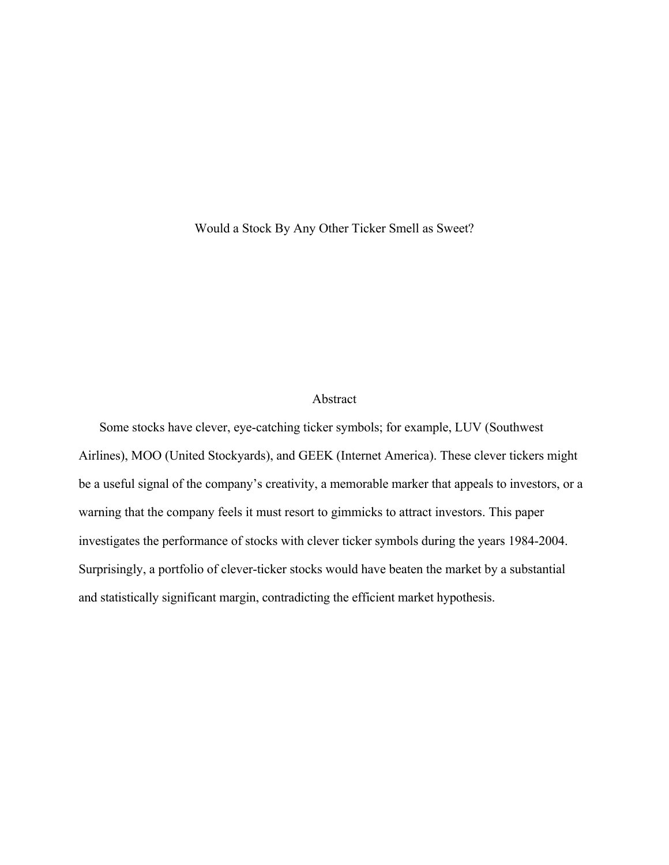Would a Stock By Any Other Ticker Smell as Sweet?

## Abstract

Some stocks have clever, eye-catching ticker symbols; for example, LUV (Southwest Airlines), MOO (United Stockyards), and GEEK (Internet America). These clever tickers might be a useful signal of the company's creativity, a memorable marker that appeals to investors, or a warning that the company feels it must resort to gimmicks to attract investors. This paper investigates the performance of stocks with clever ticker symbols during the years 1984-2004. Surprisingly, a portfolio of clever-ticker stocks would have beaten the market by a substantial and statistically significant margin, contradicting the efficient market hypothesis.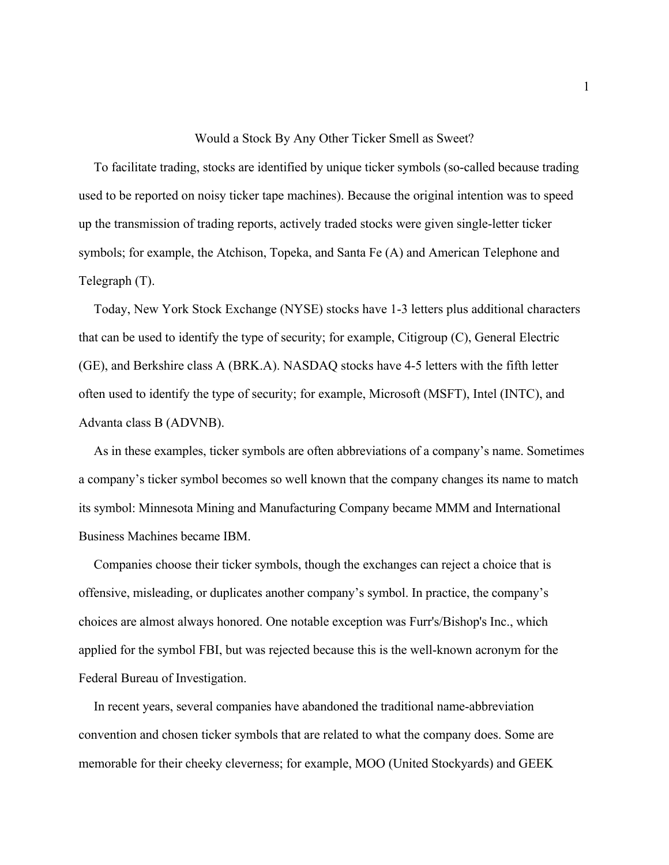#### Would a Stock By Any Other Ticker Smell as Sweet?

To facilitate trading, stocks are identified by unique ticker symbols (so-called because trading used to be reported on noisy ticker tape machines). Because the original intention was to speed up the transmission of trading reports, actively traded stocks were given single-letter ticker symbols; for example, the Atchison, Topeka, and Santa Fe (A) and American Telephone and Telegraph (T).

Today, New York Stock Exchange (NYSE) stocks have 1-3 letters plus additional characters that can be used to identify the type of security; for example, Citigroup (C), General Electric (GE), and Berkshire class A (BRK.A). NASDAQ stocks have 4-5 letters with the fifth letter often used to identify the type of security; for example, Microsoft (MSFT), Intel (INTC), and Advanta class B (ADVNB).

As in these examples, ticker symbols are often abbreviations of a company's name. Sometimes a company's ticker symbol becomes so well known that the company changes its name to match its symbol: Minnesota Mining and Manufacturing Company became MMM and International Business Machines became IBM.

Companies choose their ticker symbols, though the exchanges can reject a choice that is offensive, misleading, or duplicates another company's symbol. In practice, the company's choices are almost always honored. One notable exception was Furr's/Bishop's Inc., which applied for the symbol FBI, but was rejected because this is the well-known acronym for the Federal Bureau of Investigation.

In recent years, several companies have abandoned the traditional name-abbreviation convention and chosen ticker symbols that are related to what the company does. Some are memorable for their cheeky cleverness; for example, MOO (United Stockyards) and GEEK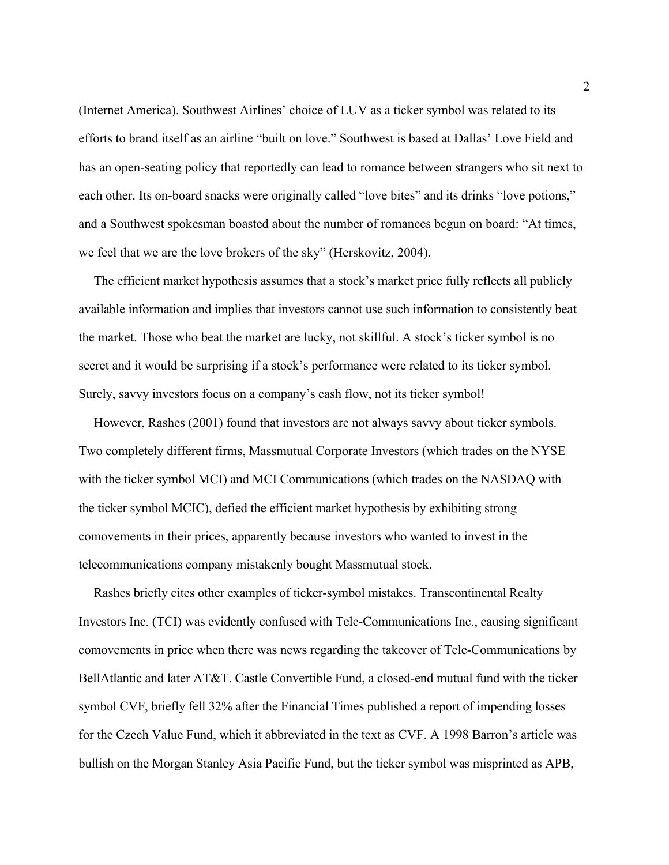(Internet America). Southwest Airlines' choice of LUV as a ticker symbol was related to its efforts to brand itself as an airline "built on love." Southwest is based at Dallas' Love Field and has an open-seating policy that reportedly can lead to romance between strangers who sit next to each other. Its on-board snacks were originally called "love bites" and its drinks "love potions," and a Southwest spokesman boasted about the number of romances begun on board: "At times, we feel that we are the love brokers of the sky" (Herskovitz, 2004).

The efficient market hypothesis assumes that a stock's market price fully reflects all publicly available information and implies that investors cannot use such information to consistently beat the market. Those who beat the market are lucky, not skillful. A stock's ticker symbol is no secret and it would be surprising if a stock's performance were related to its ticker symbol. Surely, savvy investors focus on a company's cash flow, not its ticker symbol!

However, Rashes (2001) found that investors are not always savvy about ticker symbols. Two completely different firms, Massmutual Corporate Investors (which trades on the NYSE with the ticker symbol MCI) and MCI Communications (which trades on the NASDAQ with the ticker symbol MCIC), defied the efficient market hypothesis by exhibiting strong comovements in their prices, apparently because investors who wanted to invest in the telecommunications company mistakenly bought Massmutual stock.

Rashes briefly cites other examples of ticker-symbol mistakes. Transcontinental Realty Investors Inc. (TCI) was evidently confused with Tele-Communications Inc., causing significant comovements in price when there was news regarding the takeover of Tele-Communications by BellAtlantic and later AT&T. Castle Convertible Fund, a closed-end mutual fund with the ticker symbol CVF, briefly fell 32% after the Financial Times published a report of impending losses for the Czech Value Fund, which it abbreviated in the text as CVF. A 1998 Barron's article was bullish on the Morgan Stanley Asia Pacific Fund, but the ticker symbol was misprinted as APB,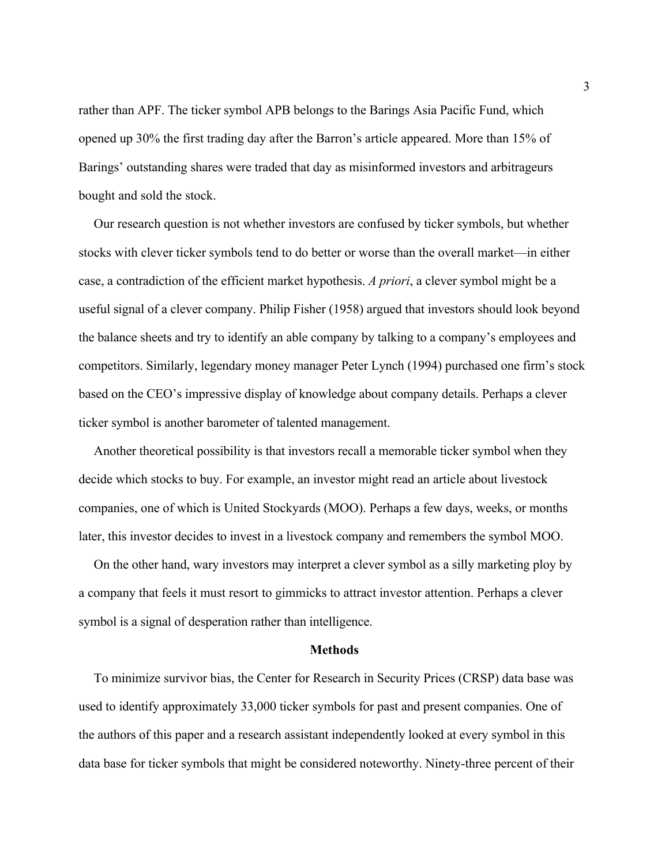rather than APF. The ticker symbol APB belongs to the Barings Asia Pacific Fund, which opened up 30% the first trading day after the Barron's article appeared. More than 15% of Barings' outstanding shares were traded that day as misinformed investors and arbitrageurs bought and sold the stock.

Our research question is not whether investors are confused by ticker symbols, but whether stocks with clever ticker symbols tend to do better or worse than the overall market—in either case, a contradiction of the efficient market hypothesis. *A priori*, a clever symbol might be a useful signal of a clever company. Philip Fisher (1958) argued that investors should look beyond the balance sheets and try to identify an able company by talking to a company's employees and competitors. Similarly, legendary money manager Peter Lynch (1994) purchased one firm's stock based on the CEO's impressive display of knowledge about company details. Perhaps a clever ticker symbol is another barometer of talented management.

Another theoretical possibility is that investors recall a memorable ticker symbol when they decide which stocks to buy. For example, an investor might read an article about livestock companies, one of which is United Stockyards (MOO). Perhaps a few days, weeks, or months later, this investor decides to invest in a livestock company and remembers the symbol MOO.

On the other hand, wary investors may interpret a clever symbol as a silly marketing ploy by a company that feels it must resort to gimmicks to attract investor attention. Perhaps a clever symbol is a signal of desperation rather than intelligence.

#### **Methods**

To minimize survivor bias, the Center for Research in Security Prices (CRSP) data base was used to identify approximately 33,000 ticker symbols for past and present companies. One of the authors of this paper and a research assistant independently looked at every symbol in this data base for ticker symbols that might be considered noteworthy. Ninety-three percent of their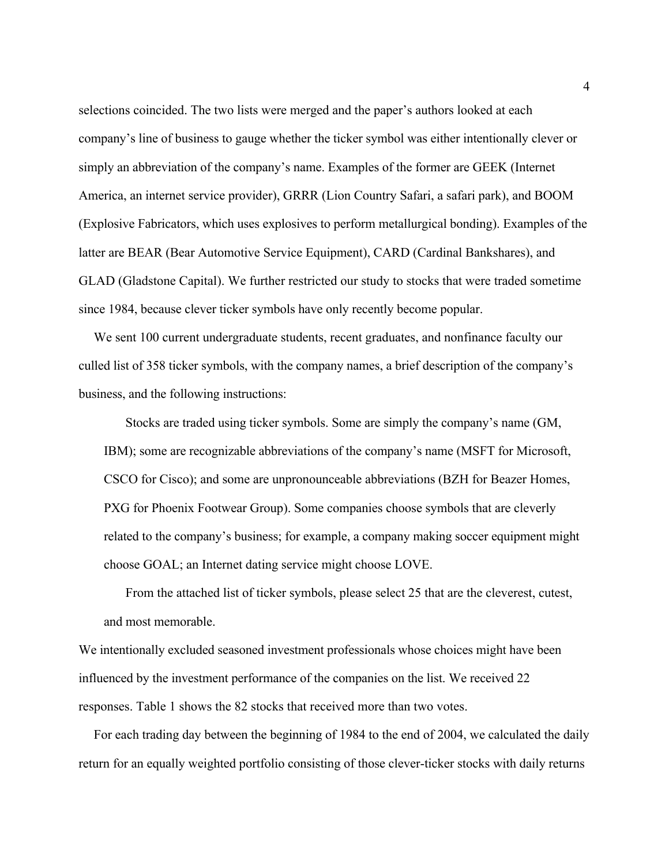selections coincided. The two lists were merged and the paper's authors looked at each company's line of business to gauge whether the ticker symbol was either intentionally clever or simply an abbreviation of the company's name. Examples of the former are GEEK (Internet America, an internet service provider), GRRR (Lion Country Safari, a safari park), and BOOM (Explosive Fabricators, which uses explosives to perform metallurgical bonding). Examples of the latter are BEAR (Bear Automotive Service Equipment), CARD (Cardinal Bankshares), and GLAD (Gladstone Capital). We further restricted our study to stocks that were traded sometime since 1984, because clever ticker symbols have only recently become popular.

We sent 100 current undergraduate students, recent graduates, and nonfinance faculty our culled list of 358 ticker symbols, with the company names, a brief description of the company's business, and the following instructions:

Stocks are traded using ticker symbols. Some are simply the company's name (GM, IBM); some are recognizable abbreviations of the company's name (MSFT for Microsoft, CSCO for Cisco); and some are unpronounceable abbreviations (BZH for Beazer Homes, PXG for Phoenix Footwear Group). Some companies choose symbols that are cleverly related to the company's business; for example, a company making soccer equipment might choose GOAL; an Internet dating service might choose LOVE.

From the attached list of ticker symbols, please select 25 that are the cleverest, cutest, and most memorable.

We intentionally excluded seasoned investment professionals whose choices might have been influenced by the investment performance of the companies on the list. We received 22 responses. Table 1 shows the 82 stocks that received more than two votes.

For each trading day between the beginning of 1984 to the end of 2004, we calculated the daily return for an equally weighted portfolio consisting of those clever-ticker stocks with daily returns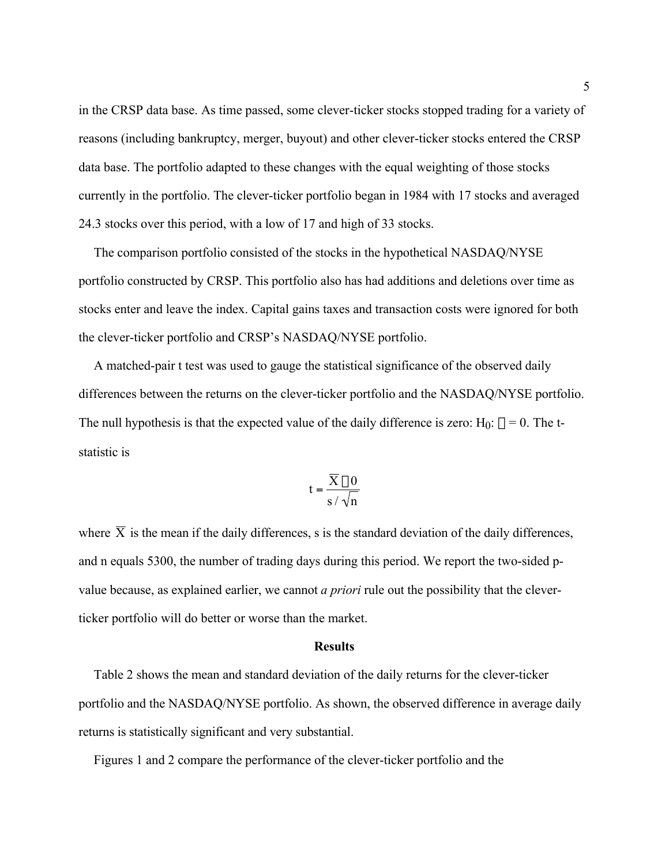in the CRSP data base. As time passed, some clever-ticker stocks stopped trading for a variety of reasons (including bankruptcy, merger, buyout) and other clever-ticker stocks entered the CRSP data base. The portfolio adapted to these changes with the equal weighting of those stocks currently in the portfolio. The clever-ticker portfolio began in 1984 with 17 stocks and averaged 24.3 stocks over this period, with a low of 17 and high of 33 stocks.

The comparison portfolio consisted of the stocks in the hypothetical NASDAQ/NYSE portfolio constructed by CRSP. This portfolio also has had additions and deletions over time as stocks enter and leave the index. Capital gains taxes and transaction costs were ignored for both the clever-ticker portfolio and CRSP's NASDAQ/NYSE portfolio.

A matched-pair t test was used to gauge the statistical significance of the observed daily differences between the returns on the clever-ticker portfolio and the NASDAQ/NYSE portfolio. The null hypothesis is that the expected value of the daily difference is zero: H<sub>0</sub>:  $\mu$  = 0. The tstatistic is

$$
t = \frac{\overline{X} - 0}{s / \sqrt{n}}
$$

and n equals 5300, the number of trading days during this period. We report the two-sided pwhere  $\overline{X}$  is the mean if the daily differences, s is the standard deviation of the daily differences, value because, as explained earlier, we cannot *a priori* rule out the possibility that the cleverticker portfolio will do better or worse than the market.

#### **Results**

Table 2 shows the mean and standard deviation of the daily returns for the clever-ticker portfolio and the NASDAQ/NYSE portfolio. As shown, the observed difference in average daily returns is statistically significant and very substantial.

Figures 1 and 2 compare the performance of the clever-ticker portfolio and the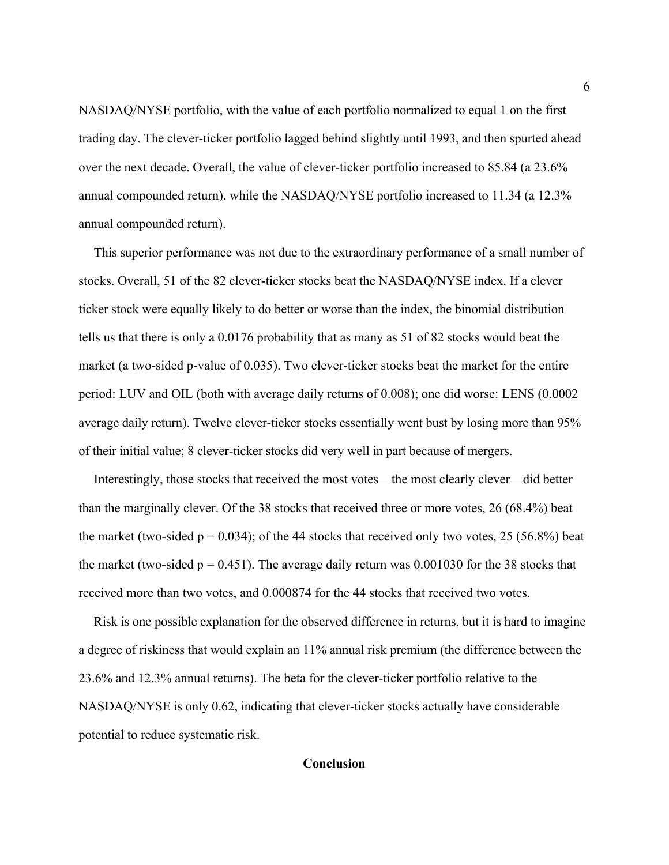NASDAQ/NYSE portfolio, with the value of each portfolio normalized to equal 1 on the first trading day. The clever-ticker portfolio lagged behind slightly until 1993, and then spurted ahead over the next decade. Overall, the value of clever-ticker portfolio increased to 85.84 (a 23.6% annual compounded return), while the NASDAQ/NYSE portfolio increased to 11.34 (a 12.3% annual compounded return).

This superior performance was not due to the extraordinary performance of a small number of stocks. Overall, 51 of the 82 clever-ticker stocks beat the NASDAQ/NYSE index. If a clever ticker stock were equally likely to do better or worse than the index, the binomial distribution tells us that there is only a 0.0176 probability that as many as 51 of 82 stocks would beat the market (a two-sided p-value of 0.035). Two clever-ticker stocks beat the market for the entire period: LUV and OIL (both with average daily returns of 0.008); one did worse: LENS (0.0002 average daily return). Twelve clever-ticker stocks essentially went bust by losing more than 95% of their initial value; 8 clever-ticker stocks did very well in part because of mergers.

Interestingly, those stocks that received the most votes—the most clearly clever—did better than the marginally clever. Of the 38 stocks that received three or more votes, 26 (68.4%) beat the market (two-sided  $p = 0.034$ ); of the 44 stocks that received only two votes, 25 (56.8%) beat the market (two-sided  $p = 0.451$ ). The average daily return was 0.001030 for the 38 stocks that received more than two votes, and 0.000874 for the 44 stocks that received two votes.

Risk is one possible explanation for the observed difference in returns, but it is hard to imagine a degree of riskiness that would explain an 11% annual risk premium (the difference between the 23.6% and 12.3% annual returns). The beta for the clever-ticker portfolio relative to the NASDAQ/NYSE is only 0.62, indicating that clever-ticker stocks actually have considerable potential to reduce systematic risk.

## **Conclusion**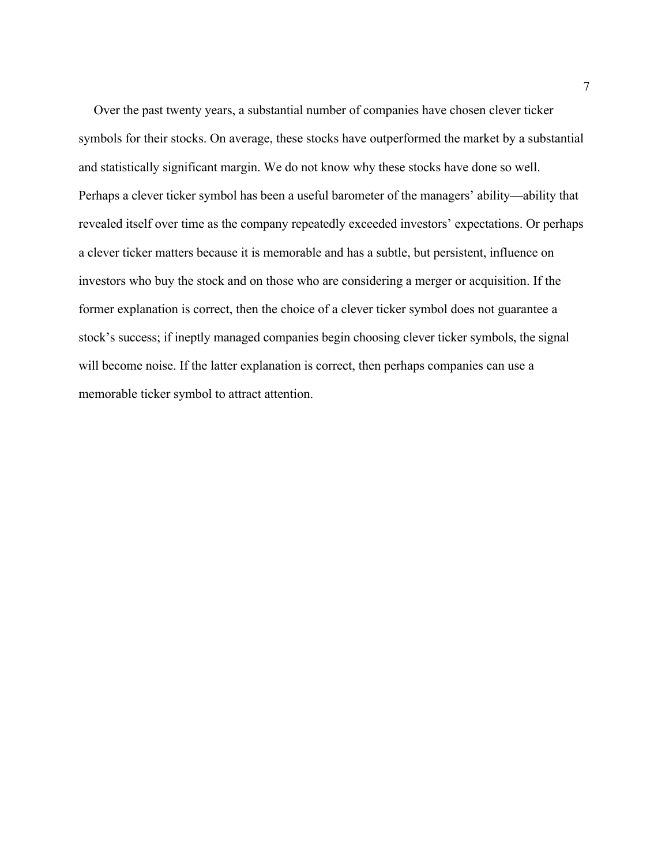Over the past twenty years, a substantial number of companies have chosen clever ticker symbols for their stocks. On average, these stocks have outperformed the market by a substantial and statistically significant margin. We do not know why these stocks have done so well. Perhaps a clever ticker symbol has been a useful barometer of the managers' ability—ability that revealed itself over time as the company repeatedly exceeded investors' expectations. Or perhaps a clever ticker matters because it is memorable and has a subtle, but persistent, influence on investors who buy the stock and on those who are considering a merger or acquisition. If the former explanation is correct, then the choice of a clever ticker symbol does not guarantee a stock's success; if ineptly managed companies begin choosing clever ticker symbols, the signal will become noise. If the latter explanation is correct, then perhaps companies can use a memorable ticker symbol to attract attention.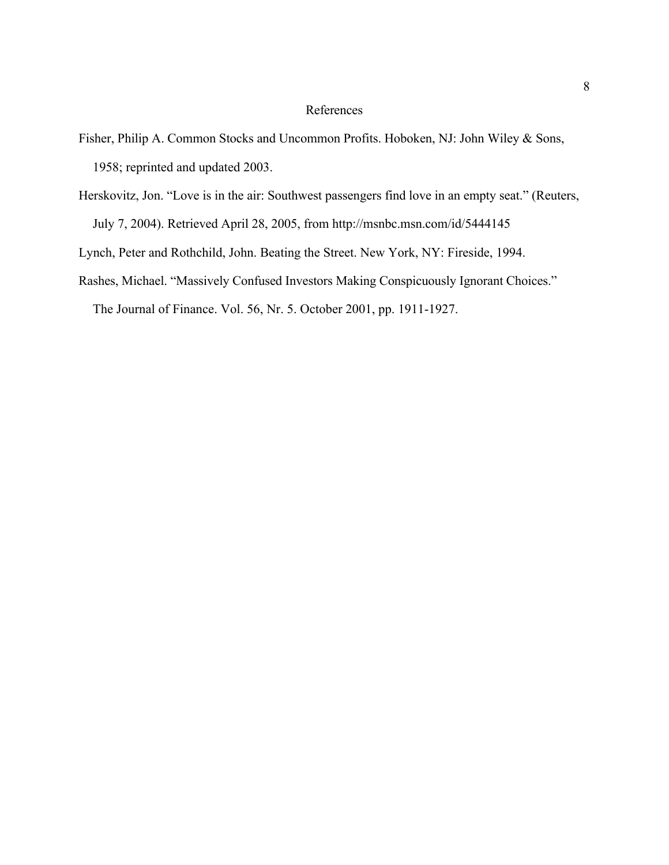### References

- Fisher, Philip A. Common Stocks and Uncommon Profits. Hoboken, NJ: John Wiley & Sons, 1958; reprinted and updated 2003.
- Herskovitz, Jon. "Love is in the air: Southwest passengers find love in an empty seat." (Reuters, July 7, 2004). Retrieved April 28, 2005, from http://msnbc.msn.com/id/5444145

Lynch, Peter and Rothchild, John. Beating the Street. New York, NY: Fireside, 1994.

Rashes, Michael. "Massively Confused Investors Making Conspicuously Ignorant Choices."

The Journal of Finance. Vol. 56, Nr. 5. October 2001, pp. 1911-1927.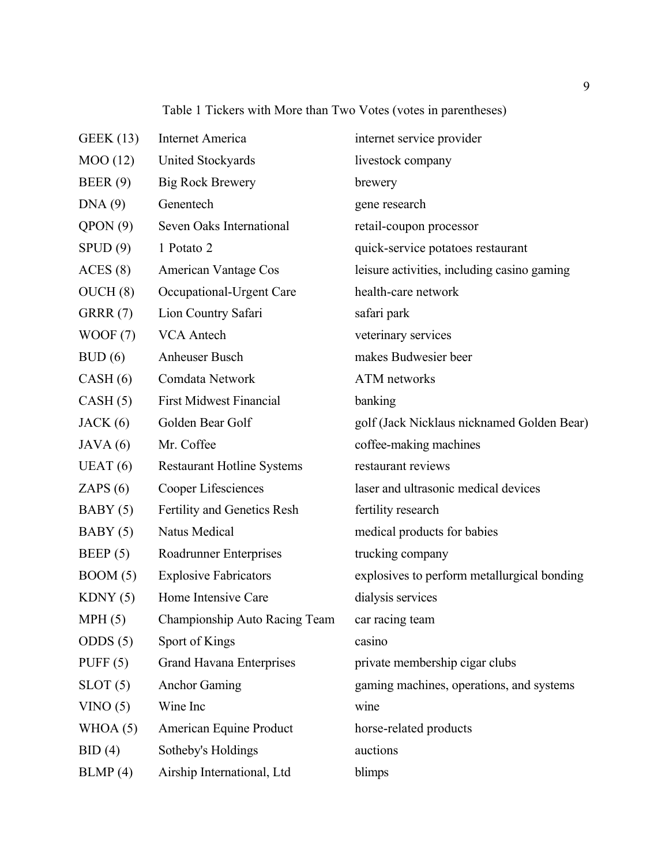Table 1 Tickers with More than Two Votes (votes in parentheses)

| <b>GEEK</b> (13) | Internet America                  | internet service provider                   |
|------------------|-----------------------------------|---------------------------------------------|
| MOO(12)          | United Stockyards                 | livestock company                           |
| BEER(9)          | <b>Big Rock Brewery</b>           | brewery                                     |
| DNA(9)           | Genentech                         | gene research                               |
| QPON(9)          | Seven Oaks International          | retail-coupon processor                     |
| SPUD(9)          | 1 Potato 2                        | quick-service potatoes restaurant           |
| ACES(8)          | American Vantage Cos              | leisure activities, including casino gaming |
| OUCH(8)          | Occupational-Urgent Care          | health-care network                         |
| GRRR(7)          | Lion Country Safari               | safari park                                 |
| WOOF(7)          | <b>VCA Antech</b>                 | veterinary services                         |
| BUD(6)           | Anheuser Busch                    | makes Budwesier beer                        |
| CASH(6)          | Comdata Network                   | ATM networks                                |
| CASH(5)          | <b>First Midwest Financial</b>    | banking                                     |
| JACK(6)          | Golden Bear Golf                  | golf (Jack Nicklaus nicknamed Golden Bear)  |
| JAVA(6)          | Mr. Coffee                        | coffee-making machines                      |
| UEAT(6)          | <b>Restaurant Hotline Systems</b> | restaurant reviews                          |
| ZAPS $(6)$       | Cooper Lifesciences               | laser and ultrasonic medical devices        |
| BABY(5)          | Fertility and Genetics Resh       | fertility research                          |
| BABY(5)          | Natus Medical                     | medical products for babies                 |
| BEEP(5)          | Roadrunner Enterprises            | trucking company                            |
| BOM(5)           | <b>Explosive Fabricators</b>      | explosives to perform metallurgical bonding |
| KDNY(5)          | Home Intensive Care               | dialysis services                           |
| MPH(5)           | Championship Auto Racing Team     | car racing team                             |
| ODDS $(5)$       | Sport of Kings                    | casino                                      |
| PUFF $(5)$       | <b>Grand Havana Enterprises</b>   | private membership cigar clubs              |
| SLOT(5)          | <b>Anchor Gaming</b>              | gaming machines, operations, and systems    |
| VINO(5)          | Wine Inc                          | wine                                        |
| WHOA $(5)$       | American Equine Product           | horse-related products                      |
| BID(4)           | Sotheby's Holdings                | auctions                                    |
| BLMP(4)          | Airship International, Ltd        | blimps                                      |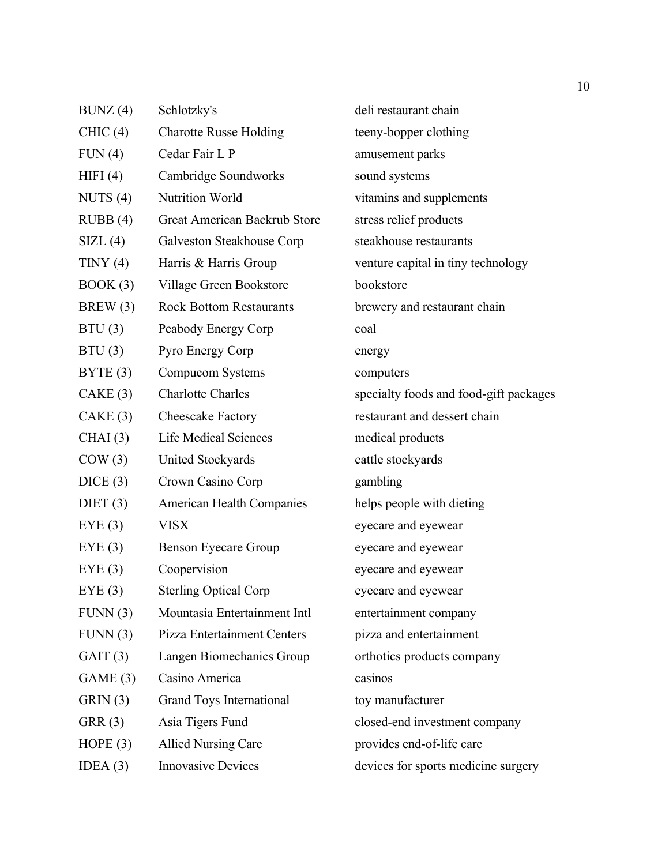| BUNZ(4)    | Schlotzky's                      | deli restaurant chain                  |  |  |
|------------|----------------------------------|----------------------------------------|--|--|
| CHIC(4)    | <b>Charotte Russe Holding</b>    | teeny-bopper clothing                  |  |  |
| FUN(4)     | Cedar Fair L P                   | amusement parks                        |  |  |
| HIFI(4)    | Cambridge Soundworks             | sound systems                          |  |  |
| NUTS $(4)$ | <b>Nutrition World</b>           | vitamins and supplements               |  |  |
| RUBB(4)    | Great American Backrub Store     | stress relief products                 |  |  |
| SIZL(4)    | Galveston Steakhouse Corp        | steakhouse restaurants                 |  |  |
| TINY(4)    | Harris & Harris Group            | venture capital in tiny technology     |  |  |
| BOOK(3)    | Village Green Bookstore          | bookstore                              |  |  |
| BREW(3)    | <b>Rock Bottom Restaurants</b>   | brewery and restaurant chain           |  |  |
| BTU(3)     | Peabody Energy Corp              | coal                                   |  |  |
| BTU(3)     | Pyro Energy Corp                 | energy                                 |  |  |
| BYTE(3)    | Compucom Systems                 | computers                              |  |  |
| CAKE(3)    | <b>Charlotte Charles</b>         | specialty foods and food-gift packages |  |  |
| CAKE(3)    | Cheescake Factory                | restaurant and dessert chain           |  |  |
| CHAI(3)    | <b>Life Medical Sciences</b>     | medical products                       |  |  |
| COW(3)     | United Stockyards                | cattle stockyards                      |  |  |
| DICE(3)    | Crown Casino Corp                | gambling                               |  |  |
| DIET $(3)$ | <b>American Health Companies</b> | helps people with dieting              |  |  |
| EYE(3)     | <b>VISX</b>                      | eyecare and eyewear                    |  |  |
| EYE(3)     | <b>Benson Eyecare Group</b>      | eyecare and eyewear                    |  |  |
| EYE(3)     | Coopervision                     | eyecare and eyewear                    |  |  |
| EYE(3)     | <b>Sterling Optical Corp</b>     | eyecare and eyewear                    |  |  |
| FUNN(3)    | Mountasia Entertainment Intl     | entertainment company                  |  |  |
| FUNN(3)    | Pizza Entertainment Centers      | pizza and entertainment                |  |  |
| GAIT(3)    | Langen Biomechanics Group        | orthotics products company             |  |  |
| GAME(3)    | Casino America                   | casinos                                |  |  |
| GRIN(3)    | Grand Toys International         | toy manufacturer                       |  |  |
| GRR(3)     | Asia Tigers Fund                 | closed-end investment company          |  |  |
| HOPE $(3)$ | <b>Allied Nursing Care</b>       | provides end-of-life care              |  |  |
| IDEA $(3)$ | <b>Innovasive Devices</b>        | devices for sports medicine surgery    |  |  |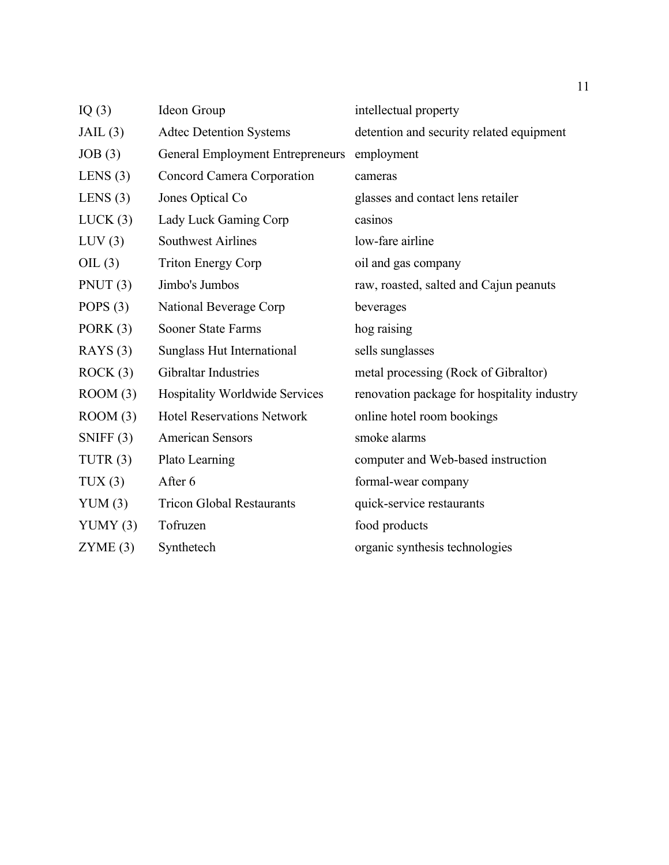| IQ $(3)$    | Ideon Group                             | intellectual property                       |  |  |
|-------------|-----------------------------------------|---------------------------------------------|--|--|
| JAIL(3)     | <b>Adtec Detention Systems</b>          | detention and security related equipment    |  |  |
| JOB(3)      | <b>General Employment Entrepreneurs</b> | employment                                  |  |  |
| LENS $(3)$  | Concord Camera Corporation              | cameras                                     |  |  |
| LENS $(3)$  | Jones Optical Co                        | glasses and contact lens retailer           |  |  |
| LUCK(3)     | Lady Luck Gaming Corp                   | casinos                                     |  |  |
| LUV(3)      | <b>Southwest Airlines</b>               | low-fare airline                            |  |  |
| OIL $(3)$   | <b>Triton Energy Corp</b>               | oil and gas company                         |  |  |
| PNUT $(3)$  | Jimbo's Jumbos                          | raw, roasted, salted and Cajun peanuts      |  |  |
| POPS $(3)$  | National Beverage Corp                  | beverages                                   |  |  |
| PORK $(3)$  | <b>Sooner State Farms</b>               | hog raising                                 |  |  |
| RAYS(3)     | Sunglass Hut International              | sells sunglasses                            |  |  |
| ROCK(3)     | Gibraltar Industries                    | metal processing (Rock of Gibraltor)        |  |  |
| Room(3)     | <b>Hospitality Worldwide Services</b>   | renovation package for hospitality industry |  |  |
| ROM(3)      | <b>Hotel Reservations Network</b>       | online hotel room bookings                  |  |  |
| SNIFF $(3)$ | <b>American Sensors</b>                 | smoke alarms                                |  |  |
| TUTR $(3)$  | Plato Learning                          | computer and Web-based instruction          |  |  |
| TUX(3)      | After 6                                 | formal-wear company                         |  |  |
| YUM(3)      | <b>Tricon Global Restaurants</b>        | quick-service restaurants                   |  |  |
| YUMY $(3)$  | Tofruzen                                | food products                               |  |  |
| ZYME(3)     | Synthetech                              | organic synthesis technologies              |  |  |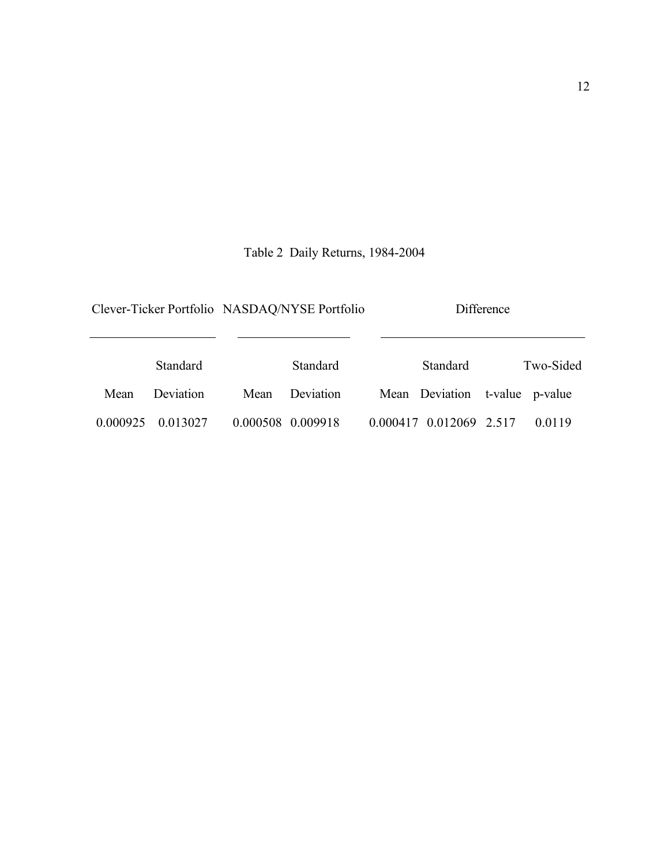# Table 2 Daily Returns, 1984-2004

|          |                   | Clever-Ticker Portfolio NASDAQ/NYSE Portfolio |  | Difference                     |  |           |  |
|----------|-------------------|-----------------------------------------------|--|--------------------------------|--|-----------|--|
|          | Standard          | Standard                                      |  | Standard                       |  | Two-Sided |  |
| Mean     | Deviation<br>Mean | Deviation                                     |  | Mean Deviation t-value p-value |  |           |  |
| 0.000925 | 0.013027          | 0.000508 0.009918                             |  | 0.000417 0.012069 2.517        |  | 0 0 1 1 9 |  |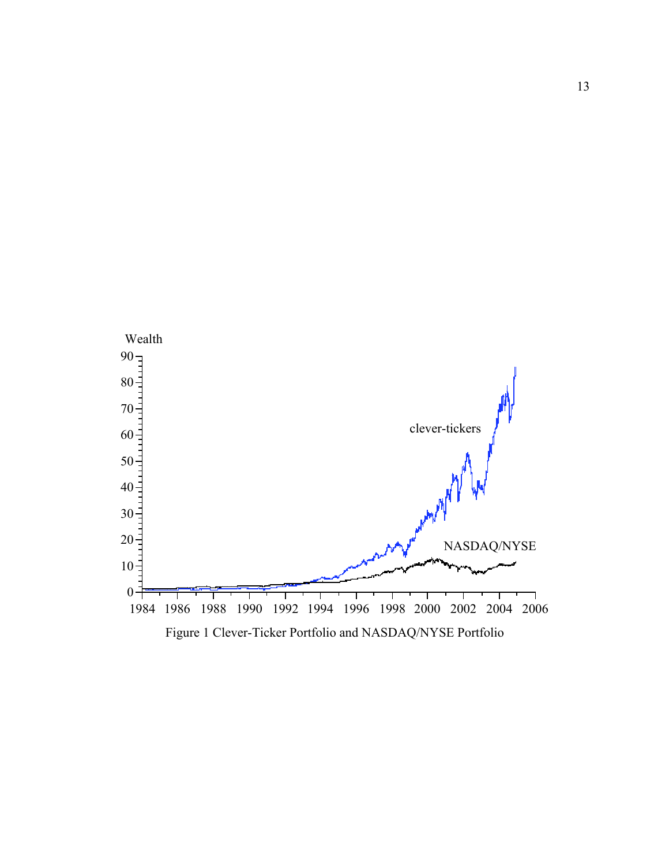